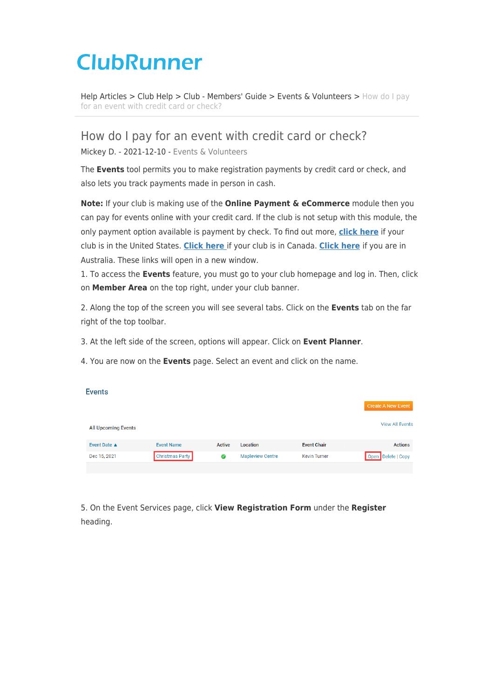# **ClubRunner**

[Help Articles](https://www.clubrunnersupport.com/kb) > [Club Help](https://www.clubrunnersupport.com/kb/club-help) > [Club - Members' Guide](https://www.clubrunnersupport.com/kb/club-members-guide) > [Events & Volunteers](https://www.clubrunnersupport.com/kb/events-volunteers) > [How do I pay](https://www.clubrunnersupport.com/kb/articles/how-do-i-pay-for-an-event-with-credit-card-or-check) [for an event with credit card or check?](https://www.clubrunnersupport.com/kb/articles/how-do-i-pay-for-an-event-with-credit-card-or-check)

How do I pay for an event with credit card or check?

Mickey D. - 2021-12-10 - [Events & Volunteers](https://www.clubrunnersupport.com/kb/events-volunteers)

The **Events** tool permits you to make registration payments by credit card or check, and also lets you track payments made in person in cash.

**Note:** If your club is making use of the **Online Payment & eCommerce** module then you can pay for events online with your credit card. If the club is not setup with this module, the only payment option available is payment by check. To find out more, **[click here](https://site.clubrunner.ca/page/online-payment-and-ecommerce-us)** if your club is in the United States. **[Click here](https://site.clubrunner.ca/page/online-payment-and-ecommerce-canada)** if your club is in Canada. **[Click here](https://site.clubrunner.ca/Page/online-payment-and-ecommerce-australia)** if you are in Australia. These links will open in a new window.

1. To access the **Events** feature, you must go to your club homepage and log in. Then, click on **Member Area** on the top right, under your club banner.

2. Along the top of the screen you will see several tabs. Click on the **Events** tab on the far right of the top toolbar.

3. At the left side of the screen, options will appear. Click on **Event Planner**.

4. You are now on the **Events** page. Select an event and click on the name.

| <b>Events</b>              |                        |        |                         |                     |                           |
|----------------------------|------------------------|--------|-------------------------|---------------------|---------------------------|
|                            |                        |        |                         |                     | <b>Create A New Event</b> |
| <b>All Upcoming Events</b> |                        |        |                         |                     | <b>View All Events</b>    |
| Event Date ▲               | <b>Event Name</b>      | Active | Location                | <b>Event Chair</b>  | <b>Actions</b>            |
| Dec 15, 2021               | <b>Christmas Party</b> | ◉      | <b>Mapleview Centre</b> | <b>Kevin Turner</b> | Open Delete   Copy        |
|                            |                        |        |                         |                     |                           |

5. On the Event Services page, click **View Registration Form** under the **Register** heading.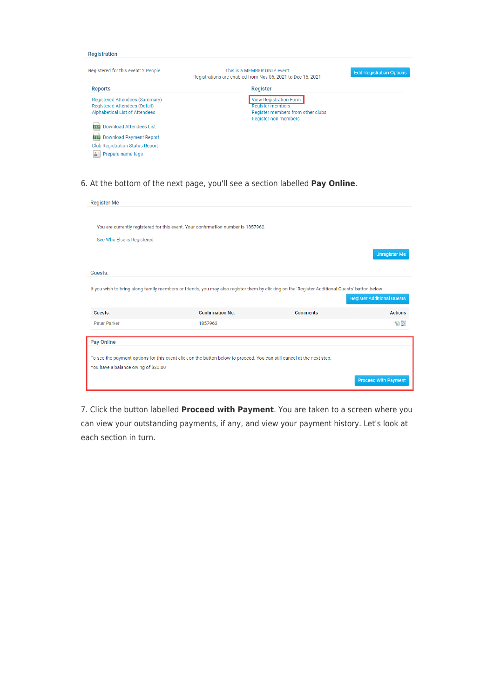#### Registration

| Registered for this event: 2 People                                                               | This is a MEMBER ONLY event<br>Registrations are enabled from Nov 05, 2021 to Dec 15, 2021                            | <b>Edit Registration Options</b> |  |
|---------------------------------------------------------------------------------------------------|-----------------------------------------------------------------------------------------------------------------------|----------------------------------|--|
| <b>Reports</b>                                                                                    | Register                                                                                                              |                                  |  |
| Registered Attendees (Summary)<br>Registered Attendees (Detail)<br>Alphabetical List of Attendees | <b>View Registration Form</b><br><b>Register members</b><br>Register members from other clubs<br>Register non-members |                                  |  |
| <b>Download Attendees List</b><br><b>CSV</b>                                                      |                                                                                                                       |                                  |  |
| <b>csv</b> Download Payment Report                                                                |                                                                                                                       |                                  |  |
| <b>Club Registration Status Report</b>                                                            |                                                                                                                       |                                  |  |
| Prepare name tags                                                                                 |                                                                                                                       |                                  |  |

6. At the bottom of the next page, you'll see a section labelled **Pay Online**.

| <b>Register Me</b>                  |                                                                                                                                                |                 |                                   |
|-------------------------------------|------------------------------------------------------------------------------------------------------------------------------------------------|-----------------|-----------------------------------|
|                                     |                                                                                                                                                |                 |                                   |
|                                     | You are currently registered for this event. Your confirmation number is 1857962.                                                              |                 |                                   |
|                                     |                                                                                                                                                |                 |                                   |
| See Who Else is Registered          |                                                                                                                                                |                 |                                   |
|                                     |                                                                                                                                                |                 | <b>Unregister Me</b>              |
| Guests:                             |                                                                                                                                                |                 |                                   |
|                                     |                                                                                                                                                |                 |                                   |
|                                     | If you wish to bring along family members or friends, you may also register them by clicking on the 'Register Additional Guests' button below. |                 |                                   |
|                                     |                                                                                                                                                |                 | <b>Register Additional Guests</b> |
| Guests:                             | <b>Confirmation No.</b>                                                                                                                        | <b>Comments</b> | <b>Actions</b>                    |
| Peter Parker                        | 1857963                                                                                                                                        |                 | $\sum_{i=1}^{n}$                  |
|                                     |                                                                                                                                                |                 |                                   |
| Pay Online                          |                                                                                                                                                |                 |                                   |
|                                     |                                                                                                                                                |                 |                                   |
|                                     | To see the payment options for this event click on the button below to proceed. You can still cancel at the next step.                         |                 |                                   |
| You have a balance owing of \$20.00 |                                                                                                                                                |                 |                                   |
|                                     |                                                                                                                                                |                 | <b>Proceed With Payment</b>       |

7. Click the button labelled **Proceed with Payment**. You are taken to a screen where you can view your outstanding payments, if any, and view your payment history. Let's look at each section in turn.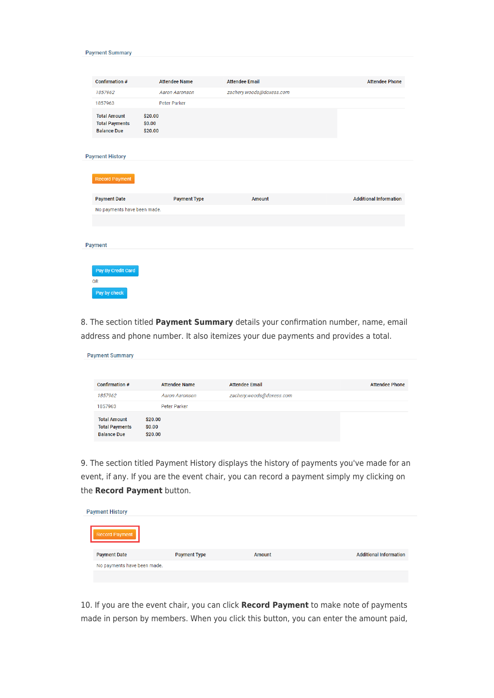| Confirmation #                                                     | <b>Attendee Name</b>         | <b>Attendee Email</b>    | <b>Attendee Phone</b>         |
|--------------------------------------------------------------------|------------------------------|--------------------------|-------------------------------|
| 1857962                                                            | <b>Aaron Aaronson</b>        | zachery.woods@doxess.com |                               |
| 1857963                                                            | Peter Parker                 |                          |                               |
| <b>Total Amount</b><br><b>Total Payments</b><br><b>Balance Due</b> | \$20.00<br>\$0.00<br>\$20.00 |                          |                               |
| <b>Payment History</b>                                             |                              |                          |                               |
| <b>Record Payment</b>                                              |                              |                          |                               |
| <b>Payment Date</b>                                                | <b>Payment Type</b>          | Amount                   | <b>Additional Information</b> |
| No payments have been made.                                        |                              |                          |                               |
|                                                                    |                              |                          |                               |
| Payment                                                            |                              |                          |                               |
|                                                                    |                              |                          |                               |
| Pay By Credit Card<br><b>OR</b>                                    |                              |                          |                               |

**Payment Summary** 

8. The section titled **Payment Summary** details your confirmation number, name, email address and phone number. It also itemizes your due payments and provides a total.

| <b>Payment Summary</b>                                             |                              |                          |                       |
|--------------------------------------------------------------------|------------------------------|--------------------------|-----------------------|
|                                                                    |                              |                          |                       |
| Confirmation #                                                     | <b>Attendee Name</b>         | <b>Attendee Email</b>    | <b>Attendee Phone</b> |
| 1857962                                                            | Aaron Aaronson               | zachery.woods@doxess.com |                       |
| 1857963                                                            | <b>Peter Parker</b>          |                          |                       |
| <b>Total Amount</b><br><b>Total Payments</b><br><b>Balance Due</b> | \$20.00<br>\$0.00<br>\$20.00 |                          |                       |

9. The section titled Payment History displays the history of payments you've made for an event, if any. If you are the event chair, you can record a payment simply my clicking on the **Record Payment** button.

| <b>Payment History</b>      |                     |        |                               |  |  |
|-----------------------------|---------------------|--------|-------------------------------|--|--|
| Record Payment              |                     |        |                               |  |  |
| <b>Payment Date</b>         | <b>Payment Type</b> | Amount | <b>Additional Information</b> |  |  |
| No payments have been made. |                     |        |                               |  |  |
|                             |                     |        |                               |  |  |

10. If you are the event chair, you can click **Record Payment** to make note of payments made in person by members. When you click this button, you can enter the amount paid,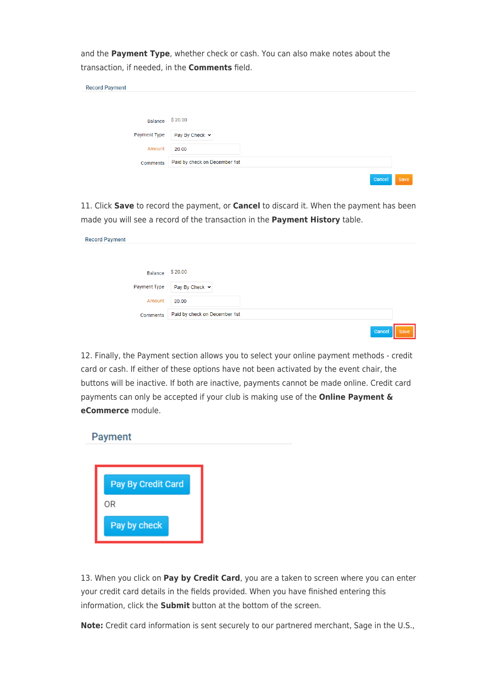and the **Payment Type**, whether check or cash. You can also make notes about the transaction, if needed, in the **Comments** field.

| <b>Record Payment</b> |                               |
|-----------------------|-------------------------------|
|                       |                               |
|                       |                               |
| Balance               | \$20.00                       |
| <b>Payment Type</b>   | Pay By Check v                |
| Amount                | 20.00                         |
| Comments              | Paid by check on December 1st |
|                       | Cancel<br><b>Save</b>         |

11. Click **Save** to record the payment, or **Cancel** to discard it. When the payment has been made you will see a record of the transaction in the **Payment History** table.

| <b>Record Payment</b> |                               |
|-----------------------|-------------------------------|
|                       |                               |
| Balance               | \$20.00                       |
| Payment Type          | Pay By Check v                |
| Amount                | 20.00                         |
| Comments              | Paid by check on December 1st |
|                       | Cancel<br>Save                |

12. Finally, the Payment section allows you to select your online payment methods - credit card or cash. If either of these options have not been activated by the event chair, the buttons will be inactive. If both are inactive, payments cannot be made online. Credit card payments can only be accepted if your club is making use of the **Online Payment & eCommerce** module.



13. When you click on **Pay by Credit Card**, you are a taken to screen where you can enter your credit card details in the fields provided. When you have finished entering this information, click the **Submit** button at the bottom of the screen.

**Note:** Credit card information is sent securely to our partnered merchant, Sage in the U.S.,